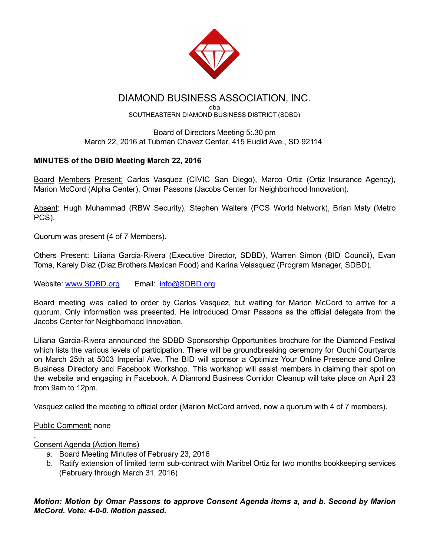

# DIAMOND BUSINESS ASSOCIATION, INC.

dba SOUTHEASTERN DIAMOND BUSINESS DISTRICT (SDBD)

## Board of Directors Meeting 5:.30 pm March 22, 2016 at Tubman Chavez Center, 415 Euclid Ave., SD 92114

## MINUTES of the DBID Meeting March 22, 2016

Board Members Present: Carlos Vasquez (CIVIC San Diego), Marco Ortiz (Ortiz Insurance Agency), Marion McCord (Alpha Center), Omar Passons (Jacobs Center for Neighborhood Innovation).

Absent: Hugh Muhammad (RBW Security), Stephen Walters (PCS World Network), Brian Maty (Metro PCS),

Quorum was present (4 of 7 Members).

Others Present: Liliana Garcia-Rivera (Executive Director, SDBD), Warren Simon (BID Council), Evan Toma, Karely Diaz (Diaz Brothers Mexican Food) and Karina Velasquez (Program Manager, SDBD).

Website: [www.SDBD.org](http://www.sdbd.org/) Email: [info@SDBD.org](mailto:info@SDBD.org)

Board meeting was called to order by Carlos Vasquez, but waiting for Marion McCord to arrive for a quorum. Only information was presented. He introduced Omar Passons as the official delegate from the Jacobs Center for Neighborhood Innovation.

Liliana Garcia-Rivera announced the SDBD Sponsorship Opportunities brochure for the Diamond Festival which lists the various levels of participation. There will be groundbreaking ceremony for Ouchi Courtyards on March 25th at 5003 Imperial Ave. The BID will sponsor a Optimize Your Online Presence and Online Business Directory and Facebook Workshop. This workshop will assist members in claiming their spot on the website and engaging in Facebook. A Diamond Business Corridor Cleanup will take place on April 23 from 9am to 12pm.

Vasquez called the meeting to official order (Marion McCord arrived, now a quorum with 4 of 7 members).

## Public Comment: none

.

## Consent Agenda (Action Items)

- a. Board Meeting Minutes of February 23, 2016
- b. Ratify extension of limited term sub-contract with Maribel Ortiz for two months bookkeeping services (February through March 31, 2016)

*Motion: Motion by Omar Passons to approve Consent Agenda items a, and b. Second by Marion McCord. Vote: 400. Motion passed.*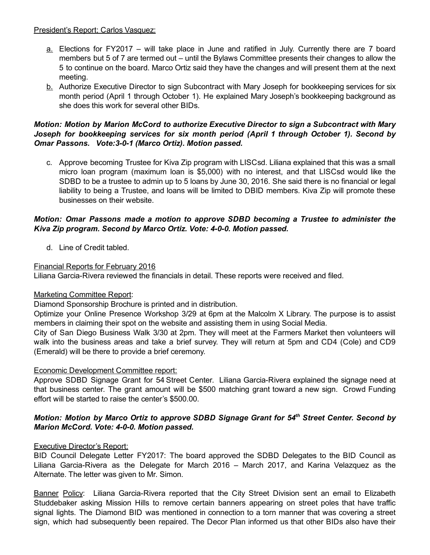## President's Report; Carlos Vasquez:

- a. Elections for FY2017 will take place in June and ratified in July. Currently there are 7 board members but 5 of 7 are termed out – until the Bylaws Committee presents their changes to allow the 5 to continue on the board. Marco Ortiz said they have the changes and will present them at the next meeting.
- b. Authorize Executive Director to sign Subcontract with Mary Joseph for bookkeeping services for six month period (April 1 through October 1). He explained Mary Joseph's bookkeeping background as she does this work for several other BIDs.

## *Motion: Motion by Marion McCord to authorize Executive Director to sign a Subcontract with Mary Joseph for bookkeeping services for six month period (April 1 through October 1). Second by Omar Passons. Vote:301 (Marco Ortiz). Motion passed.*

c. Approve becoming Trustee for Kiva Zip program with LISCsd. Liliana explained that this was a small micro loan program (maximum loan is \$5,000) with no interest, and that LISCsd would like the SDBD to be a trustee to admin up to 5 loans by June 30, 2016. She said there is no financial or legal liability to being a Trustee, and loans will be limited to DBID members. Kiva Zip will promote these businesses on their website.

## *Motion: Omar Passons made a motion to approve SDBD becoming a Trustee to administer the Kiva Zip program. Second by Marco Ortiz. Vote: 400. Motion passed.*

d. Line of Credit tabled.

## Financial Reports for February 2016

Liliana Garcia-Rivera reviewed the financials in detail. These reports were received and filed.

## Marketing Committee Report:

Diamond Sponsorship Brochure is printed and in distribution.

Optimize your Online Presence Workshop 3/29 at 6pm at the Malcolm X Library. The purpose is to assist members in claiming their spot on the website and assisting them in using Social Media.

City of San Diego Business Walk 3/30 at 2pm. They will meet at the Farmers Market then volunteers will walk into the business areas and take a brief survey. They will return at 5pm and CD4 (Cole) and CD9 (Emerald) will be there to provide a brief ceremony.

## Economic Development Committee report:

Approve SDBD Signage Grant for 54 Street Center. Liliana Garcia-Rivera explained the signage need at that business center. The grant amount will be \$500 matching grant toward a new sign. Crowd Funding effort will be started to raise the center's \$500.00.

## *Motion: Motion by Marco Ortiz to approve SDBD Signage Grant for 54 th Street Center. Second by Marion McCord. Vote: 400. Motion passed.*

## Executive Director's Report:

BID Council Delegate Letter FY2017: The board approved the SDBD Delegates to the BID Council as Liliana Garcia-Rivera as the Delegate for March 2016 – March 2017, and Karina Velazquez as the Alternate. The letter was given to Mr. Simon.

Banner Policy: Liliana Garcia-Rivera reported that the City Street Division sent an email to Elizabeth Studdebaker asking Mission Hills to remove certain banners appearing on street poles that have traffic signal lights. The Diamond BID was mentioned in connection to a torn manner that was covering a street sign, which had subsequently been repaired. The Decor Plan informed us that other BIDs also have their